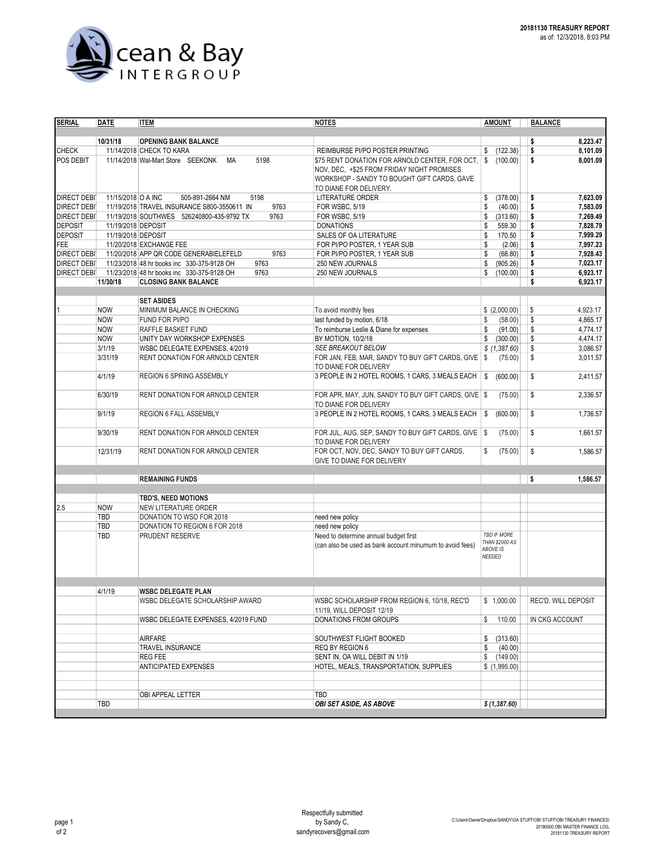

| <b>SERIAL</b>      | <b>DATE</b>        | <b>ITEM</b>                                         | <b>NOTES</b>                                             | <b>AMOUNT</b>                     | <b>BALANCE</b>      |
|--------------------|--------------------|-----------------------------------------------------|----------------------------------------------------------|-----------------------------------|---------------------|
|                    |                    |                                                     |                                                          |                                   |                     |
|                    | 10/31/18           | <b>OPENING BANK BALANCE</b>                         |                                                          |                                   | 8,223.47<br>\$      |
| <b>CHECK</b>       |                    | 11/14/2018 CHECK TO KARA                            | REIMBURSE PI/PO POSTER PRINTING                          | (122.38)<br>\$                    | \$<br>8,101.09      |
| POS DEBIT          |                    | 5198<br>11/14/2018 Wal-Mart Store SEEKONK<br>MA     | \$75 RENT DONATION FOR ARNOLD CENTER, FOR OCT,           | \$<br>(100.00)                    | \$<br>8,001.09      |
|                    |                    |                                                     | NOV, DEC, +\$25 FROM FRIDAY NIGHT PROMISES               |                                   |                     |
|                    |                    |                                                     | WORKSHOP - SANDY TO BOUGHT GIFT CARDS, GAVE              |                                   |                     |
|                    |                    |                                                     | TO DIANE FOR DELIVERY.                                   |                                   |                     |
| <b>DIRECT DEBI</b> | 11/15/2018 O A INC | 505-891-2664 NM<br>5198                             | LITERATURE ORDER                                         | (378.00)<br>\$                    | 7,623.09<br>\$      |
| <b>DIRECT DEBI</b> |                    | 11/19/2018 TRAVEL INSURANCE S800-3550611 IN<br>9763 | FOR WSBC, 5/19                                           | (40.00)<br>\$                     | \$<br>7,583.09      |
| <b>DIRECT DEBI</b> |                    | 11/19/2018 SOUTHWES 526240800-435-9792 TX<br>9763   | FOR WSBC, 5/19                                           | (313.60)<br>\$                    | \$<br>7,269.49      |
| <b>DEPOSIT</b>     | 11/19/2018 DEPOSIT |                                                     | <b>DONATIONS</b>                                         | \$<br>559.30                      | \$<br>7,828.79      |
| <b>DEPOSIT</b>     | 11/19/2018 DEPOSIT |                                                     | SALES OF OA LITERATURE                                   | 170.50<br>\$                      | \$<br>7,999.29      |
| <b>FEE</b>         |                    | 11/20/2018 EXCHANGE FEE                             | FOR PI/PO POSTER. 1 YEAR SUB                             | \$<br>(2.06)                      | 7,997.23<br>\$      |
| <b>DIRECT DEBI</b> |                    | 11/20/2018 APP QR CODE GENERABIELEFELD<br>9763      |                                                          | \$                                |                     |
|                    |                    |                                                     | FOR PI/PO POSTER, 1 YEAR SUB                             | (68.80)                           | \$<br>7,928.43      |
| <b>DIRECT DEBI</b> |                    | 11/23/2018 48 hr books inc 330-375-9128 OH<br>9763  | 250 NEW JOURNALS                                         | \$<br>(905.26)                    | \$<br>7,023.17      |
| <b>DIRECT DEBI</b> |                    | 9763<br>11/23/2018 48 hr books inc 330-375-9128 OH  | 250 NEW JOURNALS                                         | \$<br>(100.00)                    | \$<br>6,923.17      |
|                    | 11/30/18           | <b>CLOSING BANK BALANCE</b>                         |                                                          |                                   | \$<br>6,923.17      |
|                    |                    |                                                     |                                                          |                                   |                     |
|                    |                    | <b>SET ASIDES</b>                                   |                                                          |                                   |                     |
|                    | <b>NOW</b>         | MINIMUM BALANCE IN CHECKING                         | To avoid monthly fees                                    | \$(2,000.00)                      | \$<br>4,923.17      |
|                    | <b>NOW</b>         | FUND FOR PI/PO                                      | last funded by motion, 6/18                              | (58.00)<br>\$                     | \$<br>4,865.17      |
|                    | <b>NOW</b>         | RAFFLE BASKET FUND                                  | To reimburse Leslie & Diane for expenses                 | \$<br>(91.00)                     | \$<br>4,774.17      |
|                    | <b>NOW</b>         | UNITY DAY WORKSHOP EXPENSES                         | BY MOTION, 10/2/18                                       | (300.00)<br>\$                    | \$<br>4,474.17      |
|                    | 3/1/19             | WSBC DELEGATE EXPENSES, 4/2019                      | <b>SEE BREAKOUT BELOW</b>                                | \$(1,387.60)                      | \$<br>3,086.57      |
|                    | 3/31/19            | RENT DONATION FOR ARNOLD CENTER                     | FOR JAN, FEB, MAR, SANDY TO BUY GIFT CARDS, GIVE \$      | (75.00)                           | \$<br>3.011.57      |
|                    |                    |                                                     | TO DIANE FOR DELIVERY                                    |                                   |                     |
|                    | 4/1/19             | REGION 6 SPRING ASSEMBLY                            | 3 PEOPLE IN 2 HOTEL ROOMS, 1 CARS, 3 MEALS EACH          | \$<br>(600.00)                    | \$<br>2,411.57      |
|                    |                    |                                                     |                                                          |                                   |                     |
|                    | 6/30/19            | RENT DONATION FOR ARNOLD CENTER                     | FOR APR, MAY, JUN, SANDY TO BUY GIFT CARDS, GIVE \$      | (75.00)                           | \$<br>2,336.57      |
|                    |                    |                                                     | TO DIANE FOR DELIVERY                                    |                                   |                     |
|                    | 9/1/19             | REGION 6 FALL ASSEMBLY                              | 3 PEOPLE IN 2 HOTEL ROOMS, 1 CARS, 3 MEALS EACH          | (600.00)<br>\$                    | \$<br>1,736.57      |
|                    |                    |                                                     |                                                          |                                   |                     |
|                    | 9/30/19            | RENT DONATION FOR ARNOLD CENTER                     | FOR JUL, AUG, SEP, SANDY TO BUY GIFT CARDS, GIVE   \$    | (75.00)                           | \$<br>1,661.57      |
|                    |                    |                                                     | TO DIANE FOR DELIVERY                                    |                                   |                     |
|                    | 12/31/19           | RENT DONATION FOR ARNOLD CENTER                     |                                                          | (75.00)<br>\$                     | \$<br>1,586.57      |
|                    |                    |                                                     | FOR OCT, NOV, DEC, SANDY TO BUY GIFT CARDS,              |                                   |                     |
|                    |                    |                                                     | GIVE TO DIANE FOR DELIVERY                               |                                   |                     |
|                    |                    |                                                     |                                                          |                                   |                     |
|                    |                    | <b>REMAINING FUNDS</b>                              |                                                          |                                   | \$<br>1,586.57      |
|                    |                    |                                                     |                                                          |                                   |                     |
|                    |                    | TBD'S, NEED MOTIONS                                 |                                                          |                                   |                     |
| 2.5                | <b>NOW</b>         | NEW LITERATURE ORDER                                |                                                          |                                   |                     |
|                    | TBD                | DONATION TO WSO FOR 2018                            | need new policy                                          |                                   |                     |
|                    | <b>TBD</b>         | DONATION TO REGION 6 FOR 2018                       | need new policy                                          |                                   |                     |
|                    | <b>TBD</b>         | PRUDENT RESERVE                                     | Need to determine annual budget first                    | <b>TBD IF MORE</b>                |                     |
|                    |                    |                                                     | (can also be used as bank account minumum to avoid fees) | <b>THAN \$2000 AS</b><br>ABOVE IS |                     |
|                    |                    |                                                     |                                                          | NEEDED                            |                     |
|                    |                    |                                                     |                                                          |                                   |                     |
|                    |                    |                                                     |                                                          |                                   |                     |
|                    |                    |                                                     |                                                          |                                   |                     |
|                    | 4/1/19             | <b>WSBC DELEGATE PLAN</b>                           |                                                          |                                   |                     |
|                    |                    | WSBC DELEGATE SCHOLARSHIP AWARD                     | WSBC SCHOLARSHIP FROM REGION 6, 10/18, REC'D             | \$1,000.00                        | REC'D, WILL DEPOSIT |
|                    |                    |                                                     | 11/19, WILL DEPOSIT 12/19                                |                                   |                     |
|                    |                    | WSBC DELEGATE EXPENSES, 4/2019 FUND                 | <b>DONATIONS FROM GROUPS</b>                             | \$<br>110.00                      | IN CKG ACCOUNT      |
|                    |                    |                                                     |                                                          |                                   |                     |
|                    |                    | <b>AIRFARE</b>                                      | SOUTHWEST FLIGHT BOOKED                                  | \$ (313.60)                       |                     |
|                    |                    | TRAVEL INSURANCE                                    | REQ BY REGION 6                                          | \$<br>(40.00)                     |                     |
|                    |                    | <b>REG FEE</b>                                      | SENT IN, OA WILL DEBIT IN 1/19                           | (149.00)<br>\$                    |                     |
|                    |                    | ANTICIPATED EXPENSES                                | HOTEL, MEALS, TRANSPORTATION, SUPPLIES                   | \$(1,995.00)                      |                     |
|                    |                    |                                                     |                                                          |                                   |                     |
|                    |                    |                                                     |                                                          |                                   |                     |
|                    |                    |                                                     | TBD                                                      |                                   |                     |
|                    | TBD                | OBI APPEAL LETTER                                   |                                                          | \$ (1,387.60)                     |                     |
|                    |                    |                                                     | <b>OBI SET ASIDE, AS ABOVE</b>                           |                                   |                     |